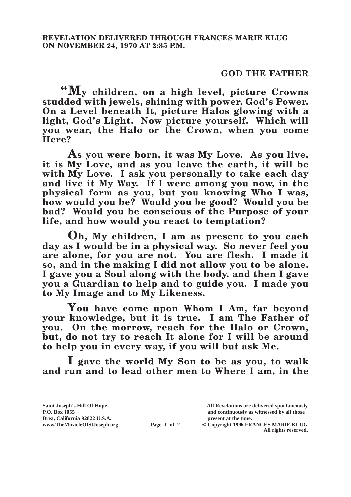## **GOD THE FATHER**

**"My children, on a high level, picture Crowns studded with jewels, shining with power, God's Power. On a Level beneath It, picture Halos glowing with a light, God's Light. Now picture yourself. Which will you wear, the Halo or the Crown, when you come Here?**

**As you were born, it was My Love. As you live, it is My Love, and as you leave the earth, it will be with My Love. I ask you personally to take each day and live it My Way. If I were among you now, in the physical form as you, but you knowing Who I was, how would you be? Would you be good? Would you be bad? Would you be conscious of the Purpose of your life, and how would you react to temptation?**

**Oh, My children, I am as present to you each day as I would be in a physical way. So never feel you are alone, for you are not. You are flesh. I made it so, and in the making I did not allow you to be alone. I gave you a Soul along with the body, and then I gave you a Guardian to help and to guide you. I made you to My Image and to My Likeness.**

**You have come upon Whom I Am, far beyond your knowledge, but it is true. I am The Father of you. On the morrow, reach for the Halo or Crown, but, do not try to reach It alone for I will be around to help you in every way, if you will but ask Me.**

**I gave the world My Son to be as you, to walk and run and to lead other men to Where I am, in the** 

**Brea, California 92822 U.S.A. present at the time.**<br> **Page 1 of 2** © Copyright 1996 FR.

**Saint Joseph's Hill Of Hope All Revelations are delivered spontaneously P.O. Box 1055 and continuously as witnessed by all those** 

**Page 1 of 2** © Copyright 1996 FRANCES MARIE KLUG **All rights reserved.**